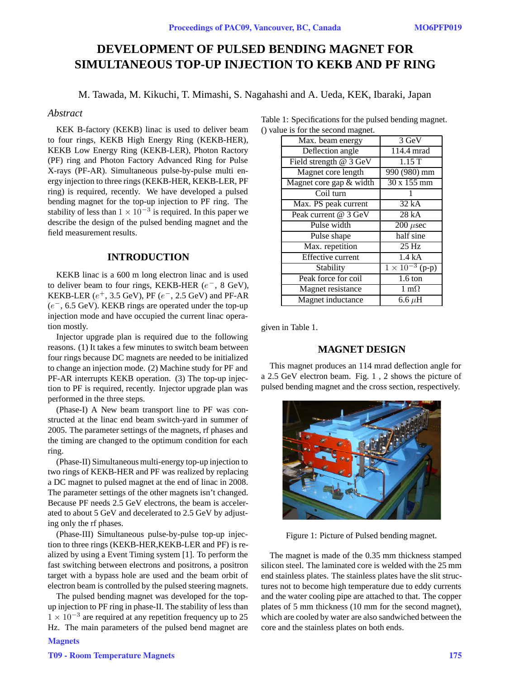# **DEVELOPMENT OF PULSED BENDING MAGNET FOR SIMULTANEOUS TOP-UP INJECTION TO KEKB AND PF RING**

M. Tawada, M. Kikuchi, T. Mimashi, S. Nagahashi and A. Ueda, KEK, Ibaraki, Japan

## *Abstract*

KEK B-factory (KEKB) linac is used to deliver beam to four rings, KEKB High Energy Ring (KEKB-HER), KEKB Low Energy Ring (KEKB-LER), Photon Ractory (PF) ring and Photon Factory Advanced Ring for Pulse X-rays (PF-AR). Simultaneous pulse-by-pulse multi energy injection to three rings (KEKB-HER, KEKB-LER, PF ring) is required, recently. We have developed a pulsed bending magnet for the top-up injection to PF ring. The stability of less than  $1 \times 10^{-3}$  is required. In this paper we describe the design of the pulsed bending magnet and the field measurement results.

### **INTRODUCTION**

KEKB linac is a 600 m long electron linac and is used to deliver beam to four rings, KEKB-HER (e*−*, 8 GeV), KEKB-LER (e<sup>+</sup>, 3.5 GeV), PF (e*−*, 2.5 GeV) and PF-AR (e*−*, 6.5 GeV). KEKB rings are operated under the top-up injection mode and have occupied the current linac operation mostly.

Injector upgrade plan is required due to the following reasons. (1) It takes a few minutes to switch beam between four rings because DC magnets are needed to be initialized to change an injection mode. (2) Machine study for PF and PF-AR interrupts KEKB operation. (3) The top-up injection to PF is required, recently. Injector upgrade plan was performed in the three steps.

(Phase-I) A New beam transport line to PF was constructed at the linac end beam switch-yard in summer of 2005. The parameter settings of the magnets, rf phases and the timing are changed to the optimum condition for each ring.

(Phase-II) Simultaneous multi-energy top-up injection to two rings of KEKB-HER and PF was realized by replacing a DC magnet to pulsed magnet at the end of linac in 2008. The parameter settings of the other magnets isn't changed. Because PF needs 2.5 GeV electrons, the beam is accelerated to about 5 GeV and decelerated to 2.5 GeV by adjusting only the rf phases.

(Phase-III) Simultaneous pulse-by-pulse top-up injection to three rings (KEKB-HER,KEKB-LER and PF) is realized by using a Event Timing system [1]. To perform the fast switching between electrons and positrons, a positron target with a bypass hole are used and the beam orbit of electron beam is controlled by the pulsed steering magnets.

The pulsed bending magnet was developed for the topup injection to PF ring in phase-II. The stability of less than <sup>1</sup> <sup>×</sup> <sup>10</sup>*−*<sup>3</sup> are required at any repetition frequency up to 25 Hz. The main parameters of the pulsed bend magnet are **Magnets** 

| Table 1: Specifications for the pulsed bending magnet. |  |
|--------------------------------------------------------|--|
| () value is for the second magnet.                     |  |

| Max. beam energy         | 3 GeV                      |
|--------------------------|----------------------------|
| Deflection angle         | 114.4 mrad                 |
| Field strength @ 3 GeV   | $1.1\overline{5T}$         |
| Magnet core length       | 990 (980) mm               |
| Magnet core gap & width  | 30 x 155 mm                |
| Coil turn                |                            |
| Max. PS peak current     | 32 kA                      |
| Peak current @ 3 GeV     | 28kA                       |
| Pulse width              | $\overline{200}$ $\mu$ sec |
| Pulse shape              | half sine                  |
| Max. repetition          | 25 Hz                      |
| <b>Effective</b> current | 1.4 kA                     |
| Stability                | $1 \times 10^{-3}$ (p-p)   |
| Peak force for coil      | $1.6 \text{ ton}$          |
| Magnet resistance        | 1 m $\Omega$               |
| Magnet inductance        | 6.6 $\mu$ H                |
|                          |                            |

given in Table 1.

## **MAGNET DESIGN**

This magnet produces an 114 mrad deflection angle for a 2.5 GeV electron beam. Fig. 1 , 2 shows the picture of pulsed bending magnet and the cross section, respectively.



Figure 1: Picture of Pulsed bending magnet.

The magnet is made of the 0.35 mm thickness stamped silicon steel. The laminated core is welded with the 25 mm end stainless plates. The stainless plates have the slit structures not to become high temperature due to eddy currents and the water cooling pipe are attached to that. The copper plates of 5 mm thickness (10 mm for the second magnet), which are cooled by water are also sandwiched between the core and the stainless plates on both ends.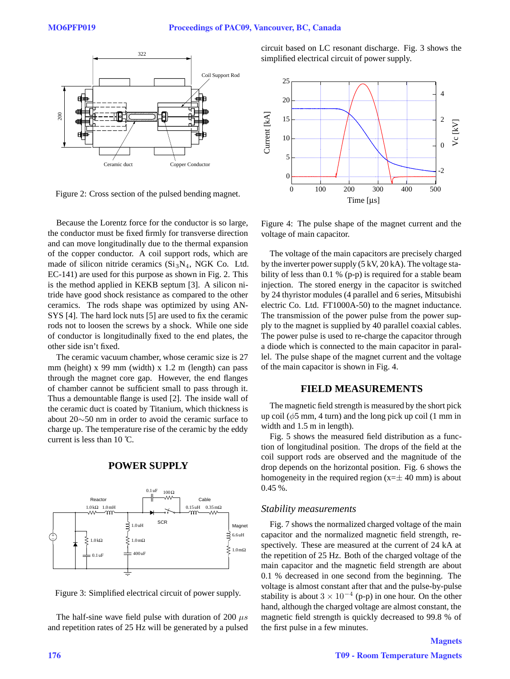

Figure 2: Cross section of the pulsed bending magnet.

Because the Lorentz force for the conductor is so large, the conductor must be fixed firmly for transverse direction and can move longitudinally due to the thermal expansion of the copper conductor. A coil support rods, which are made of silicon nitride ceramics  $(Si<sub>3</sub>N<sub>4</sub>, NGK Co. Ltd.$ EC-141) are used for this purpose as shown in Fig. 2. This is the method applied in KEKB septum [3]. A silicon nitride have good shock resistance as compared to the other ceramics. The rods shape was optimized by using AN-SYS [4]. The hard lock nuts [5] are used to fix the ceramic rods not to loosen the screws by a shock. While one side of conductor is longitudinally fixed to the end plates, the other side isn't fixed.

The ceramic vacuum chamber, whose ceramic size is 27 mm (height) x 99 mm (width) x 1.2 m (length) can pass through the magnet core gap. However, the end flanges of chamber cannot be sufficient small to pass through it. Thus a demountable flange is used [2]. The inside wall of the ceramic duct is coated by Titanium, which thickness is about 20∼50 nm in order to avoid the ceramic surface to charge up. The temperature rise of the ceramic by the eddy current is less than  $10^{\circ}$ C.





Figure 3: Simplified electrical circuit of power supply.

The half-sine wave field pulse with duration of 200  $\mu s$ and repetition rates of 25 Hz will be generated by a pulsed circuit based on LC resonant discharge. Fig. 3 shows the simplified electrical circuit of power supply.



Figure 4: The pulse shape of the magnet current and the voltage of main capacitor.

The voltage of the main capacitors are precisely charged by the inverter power supply (5 kV, 20 kA). The voltage stability of less than 0.1 % (p-p) is required for a stable beam injection. The stored energy in the capacitor is switched by 24 thyristor modules (4 parallel and 6 series, Mitsubishi electric Co. Ltd. FT1000A-50) to the magnet inductance. The transmission of the power pulse from the power supply to the magnet is supplied by 40 parallel coaxial cables. The power pulse is used to re-charge the capacitor through a diode which is connected to the main capacitor in parallel. The pulse shape of the magnet current and the voltage of the main capacitor is shown in Fig. 4.

# **FIELD MEASUREMENTS**

The magnetic field strength is measured by the short pick up coil ( $\phi$ 5 mm, 4 turn) and the long pick up coil (1 mm in width and 1.5 m in length).

Fig. 5 shows the measured field distribution as a function of longitudinal position. The drops of the field at the coil support rods are observed and the magnitude of the drop depends on the horizontal position. Fig. 6 shows the homogeneity in the required region  $(x=\pm 40 \text{ mm})$  is about 0.45 %.

#### *Stability measurements*

Fig. 7 shows the normalized charged voltage of the main capacitor and the normalized magnetic field strength, respectively. These are measured at the current of 24 kA at the repetition of 25 Hz. Both of the charged voltage of the main capacitor and the magnetic field strength are about 0.1 % decreased in one second from the beginning. The voltage is almost constant after that and the pulse-by-pulse stability is about  $3 \times 10^{-4}$  (p-p) in one hour. On the other hand, although the charged voltage are almost constant, the magnetic field strength is quickly decreased to 99.8 % of the first pulse in a few minutes.

**Magnets**